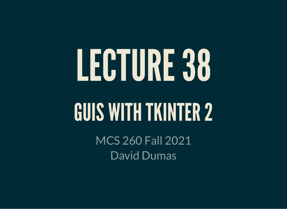# LECTURE38 **GUIS WITH TKINTER 2**

MCS 260 Fall 2021 David Dumas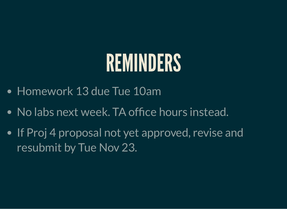### REMINDERS

- Homework 13 due Tue 10am
- No labs next week. TA office hours instead.
- If Proj 4 proposal not yet approved, revise and resubmit by Tue Nov 23.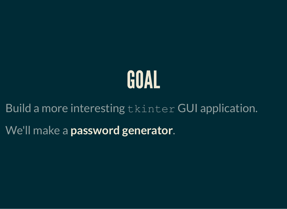

Build a more interesting tkinter GUI application.

We'll make a **password generator**.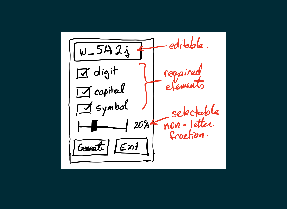editable.  $W-5421$  $\mathbb{Z}$  digit required elements  $\pi$  capital  $\sqrt{9}$  symbol selectable non-jetter  $20<sub>b</sub>$  $\overline{\phantom{a}}$ fraction.  $\mathbf{E}$ xit Generate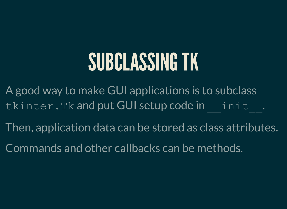#### SUBCLASSINGTK

A good way to make GUI applications is to subclass tkinter.Tk and put GUI setup code in init .

Then, application data can be stored as class attributes.

Commands and other callbacks can be methods.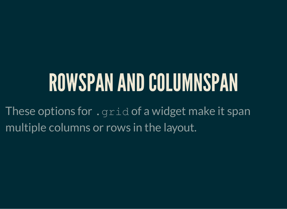## ROWSPAN AND COLUMNSPAN

These options for . grid of a widget make it span multiple columns or rows in the layout.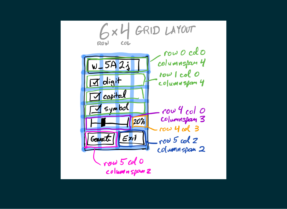$$
6xH GRID LAVOUT\nRow O cdO\nW-5A23\nrow O cdO\nrow O cdO\nrow O cdO\nrow 1 col O\nrow 1 col O\ncolumn span 2
$$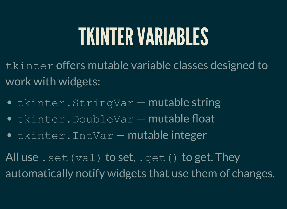### TKINTERVARIABLES

tkinter offers mutable variable classes designed to work with widgets:

- tkinter.StringVar mutable string
- **tkinter.DoubleVar mutable float**
- tkinter. IntVar mutable integer

All use . set (val) to set, . get () to get. They automatically notify widgets that use them of changes.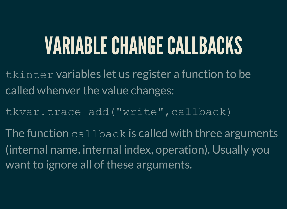## VARIABLECHANGECALLBACKS

- tkinter variables let us register a function to be called whenver the value changes:
- tkvar.trace add("write",callback)
- The function  $\text{cal}_1$  lback is called with three arguments (internal name, internal index, operation). Usually you want to ignore all of these arguments.